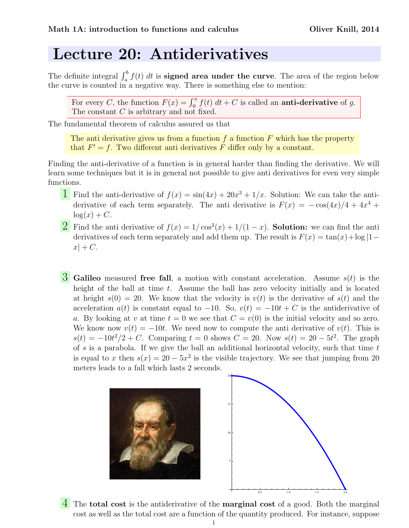## Lecture 20: Antiderivatives

The definite integral  $\int_a^b f(t) dt$  is **signed area under the curve**. The area of the region below the curve is counted in a negative way. There is something else to mention:

For every C, the function  $F(x) = \int_0^x f(t) dt + C$  is called an **anti-derivative** of g. The constant C is arbitrary and not fixed.

The fundamental theorem of calculus assured us that

The anti-derivative gives us from a function  $f$  a function  $F$  which has the property that  $F' = f$ . Two different anti-derivatives F differ only by a constant.

Finding the anti-derivative of a function is in general harder than finding the derivative. We will learn some techniques but it is in general not possible to give anti derivatives for even very simple functions.

- **1** Find the anti-derivative of  $f(x) = \sin(4x) + 20x^3 + 1/x$ . Solution: We can take the antiderivative of each term separately. The anti-derivative is  $F(x) = -\cos(4x)/4 + 4x^4 +$  $log(x) + C$ .
- **2** Find the anti-derivative of  $f(x) = 1/\cos^2(x) + 1/(1-x)$ . **Solution:** we can find the anti derivatives of each term separately and add them up. The result is  $F(x) = \tan(x) + \log|1$  $x$  + C.
- **3** Galileo measured free fall, a motion with constant acceleration. Assume  $s(t)$  is the height of the ball at time  $t$ . Assume the ball has zero velocity initially and is located at height  $s(0) = 20$ . We know that the velocity is  $v(t)$  is the derivative of  $s(t)$  and the acceleration  $a(t)$  is constant equal to -10. So,  $v(t) = -10t + C$  is the antiderivative of a. By looking at v at time  $t = 0$  we see that  $C = v(0)$  is the initial velocity and so zero. We know now  $v(t) = -10t$ . We need now to compute the anti-derivative of  $v(t)$ . This is  $s(t) = -10t^2/2 + C$ . Comparing  $t = 0$  shows  $C = 20$ . Now  $s(t) = 20 - 5t^2$ . The graph of  $s$  is a parabola. If we give the ball an additional horizontal velocity, such that time  $t$ is equal to x then  $s(x) = 20 - 5x^2$  is the visible trajectory. We see that jumping from 20 meters leads to a fall which lasts 2 seconds.



4 The **total cost** is the antiderivative of the **marginal cost** of a good. Both the marginal cost as well as the total cost are a function of the quantity produced. For instance, suppose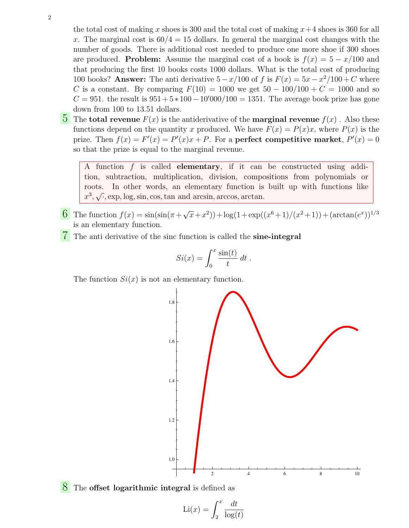the total cost of making x shoes is 300 and the total cost of making  $x+4$  shoes is 360 for all x. The marginal cost is  $60/4 = 15$  dollars. In general the marginal cost changes with the number of goods. There is additional cost needed to produce one more shoe if 300 shoes are produced. **Problem:** Assume the marginal cost of a book is  $f(x) = 5 - x/100$  and that producing the first 10 books costs 1000 dollars. What is the total cost of producing 100 books? Answer: The anti derivative  $5 - x/100$  of f is  $F(x) = 5x - x^2/100 + C$  where C is a constant. By comparing  $F(10) = 1000$  we get  $50 - 100/100 + C = 1000$  and so  $C = 951$ . the result is  $951 + 5 * 100 - 10'000/100 = 1351$ . The average book prize has gone down from 100 to 13.51 dollars.

**5** The **total revenue**  $F(x)$  is the antiderivative of the **marginal revenue**  $f(x)$ . Also these functions depend on the quantity x produced. We have  $F(x) = P(x)x$ , where  $P(x)$  is the prize. Then  $f(x) = F'(x) = P'(x)x + P$ . For a **perfect competitive market**,  $P'(x) = 0$ so that the prize is equal to the marginal revenue.

A function f is called elementary, if it can be constructed using addition, subtraction, multiplication, division, compositions from polynomials or roots. In other words, an elementary function is built up with functions like  $x^3, \sqrt{\cdot}$ , exp, log, sin, cos, tan and arcsin, arccos, arctan.

- 6 The function  $f(x) = \sin(\sin(\pi + \sqrt{\pi})$  $(\overline{x}+x^2)$  + log(1+exp(( $x^6+1)/(x^2+1)$ ) + (arctan( $e^x$ ))<sup>1/3</sup> is an elementary function.
- $\sqrt{\ }$  The anti-derivative of the sinc function is called the sine-integral

$$
Si(x) = \int_0^x \frac{\sin(t)}{t} dt.
$$

The function  $Si(x)$  is not an elementary function.



<sup>8</sup> The **offset logarithmic integral** is defined as

$$
\text{Li}(x) = \int_2^x \frac{dt}{\log(t)}
$$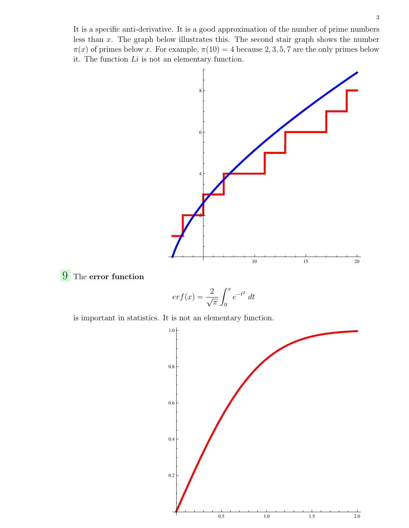It is a specific anti-derivative. It is a good approximation of the number of prime numbers less than x. The graph below illustrates this. The second stair graph shows the number  $\pi(x)$  of primes below x. For example,  $\pi(10) = 4$  because 2, 3, 5, 7 are the only primes below it. The function  $Li$  is not an elementary function.



## **9** The error function

$$
erf(x) = \frac{2}{\sqrt{\pi}} \int_0^x e^{-t^2} dt
$$

is important in statistics. It is not an elementary function.